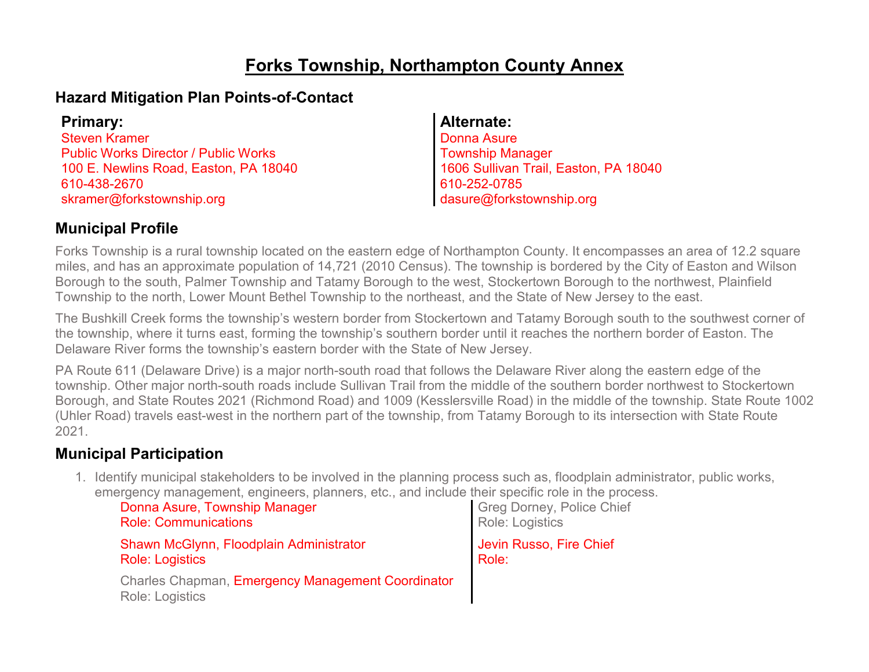## **Forks Township, Northampton County Annex**

### **Hazard Mitigation Plan Points-of-Contact**

Steven Kramer Public Works Director / Public Works 100 E. Newlins Road, Easton, PA 18040 610-438-2670 skramer@forkstownship.org

#### **Primary: Alternate:**

Donna Asure Township Manager 1606 Sullivan Trail, Easton, PA 18040 610-252-0785 dasure@forkstownship.org

### **Municipal Profile**

Forks Township is a rural township located on the eastern edge of Northampton County. It encompasses an area of 12.2 square miles, and has an approximate population of 14,721 (2010 Census). The township is bordered by the City of Easton and Wilson Borough to the south, Palmer Township and Tatamy Borough to the west, Stockertown Borough to the northwest, Plainfield Township to the north, Lower Mount Bethel Township to the northeast, and the State of New Jersey to the east.

The Bushkill Creek forms the township's western border from Stockertown and Tatamy Borough south to the southwest corner of the township, where it turns east, forming the township's southern border until it reaches the northern border of Easton. The Delaware River forms the township's eastern border with the State of New Jersey.

PA Route 611 (Delaware Drive) is a major north-south road that follows the Delaware River along the eastern edge of the township. Other major north-south roads include Sullivan Trail from the middle of the southern border northwest to Stockertown Borough, and State Routes 2021 (Richmond Road) and 1009 (Kesslersville Road) in the middle of the township. State Route 1002 (Uhler Road) travels east-west in the northern part of the township, from Tatamy Borough to its intersection with State Route 2021.

### **Municipal Participation**

1. Identify municipal stakeholders to be involved in the planning process such as, floodplain administrator, public works, emergency management, engineers, planners, etc., and include their specific role in the process.

| Donna Asure, Township Manager                                        | Greg Dorney, Police Chief |
|----------------------------------------------------------------------|---------------------------|
| <b>Role: Communications</b>                                          | Role: Logistics           |
| Shawn McGlynn, Floodplain Administrator                              | Jevin Russo, Fire Chief   |
| <b>Role: Logistics</b>                                               | Role:                     |
| Charles Chapman, Emergency Management Coordinator<br>Role: Logistics |                           |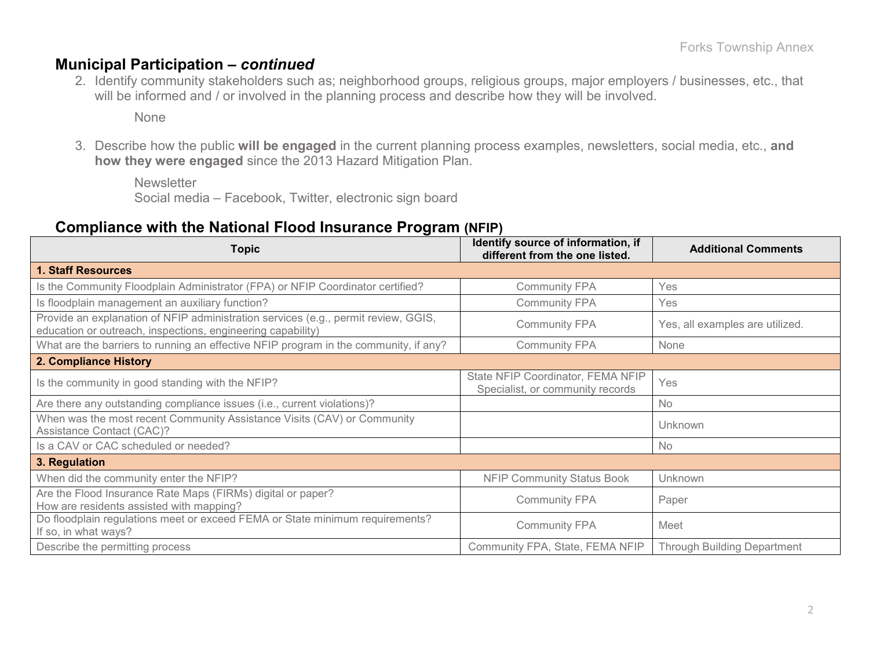#### **Municipal Participation –** *continued*

2. Identify community stakeholders such as; neighborhood groups, religious groups, major employers / businesses, etc., that will be informed and / or involved in the planning process and describe how they will be involved.

None

3. Describe how the public **will be engaged** in the current planning process examples, newsletters, social media, etc., **and how they were engaged** since the 2013 Hazard Mitigation Plan.

**Newsletter** Social media – Facebook, Twitter, electronic sign board

#### **Compliance with the National Flood Insurance Program (NFIP)**

| <b>Topic</b>                                                                                                                                      | Identify source of information, if<br>different from the one listed.  | <b>Additional Comments</b>         |
|---------------------------------------------------------------------------------------------------------------------------------------------------|-----------------------------------------------------------------------|------------------------------------|
| 1. Staff Resources                                                                                                                                |                                                                       |                                    |
| Is the Community Floodplain Administrator (FPA) or NFIP Coordinator certified?                                                                    | <b>Community FPA</b>                                                  | Yes                                |
| Is floodplain management an auxiliary function?                                                                                                   | <b>Community FPA</b>                                                  | Yes                                |
| Provide an explanation of NFIP administration services (e.g., permit review, GGIS,<br>education or outreach, inspections, engineering capability) | <b>Community FPA</b>                                                  | Yes, all examples are utilized.    |
| What are the barriers to running an effective NFIP program in the community, if any?                                                              | <b>Community FPA</b>                                                  | None                               |
| 2. Compliance History                                                                                                                             |                                                                       |                                    |
| Is the community in good standing with the NFIP?                                                                                                  | State NFIP Coordinator, FEMA NFIP<br>Specialist, or community records | Yes                                |
| Are there any outstanding compliance issues (i.e., current violations)?                                                                           |                                                                       | <b>No</b>                          |
| When was the most recent Community Assistance Visits (CAV) or Community<br><b>Assistance Contact (CAC)?</b>                                       |                                                                       | Unknown                            |
| Is a CAV or CAC scheduled or needed?                                                                                                              |                                                                       | <b>No</b>                          |
| 3. Regulation                                                                                                                                     |                                                                       |                                    |
| When did the community enter the NFIP?                                                                                                            | <b>NFIP Community Status Book</b>                                     | Unknown                            |
| Are the Flood Insurance Rate Maps (FIRMs) digital or paper?<br>How are residents assisted with mapping?                                           | <b>Community FPA</b>                                                  | Paper                              |
| Do floodplain regulations meet or exceed FEMA or State minimum requirements?<br>If so, in what ways?                                              | <b>Community FPA</b>                                                  | Meet                               |
| Describe the permitting process                                                                                                                   | Community FPA, State, FEMA NFIP                                       | <b>Through Building Department</b> |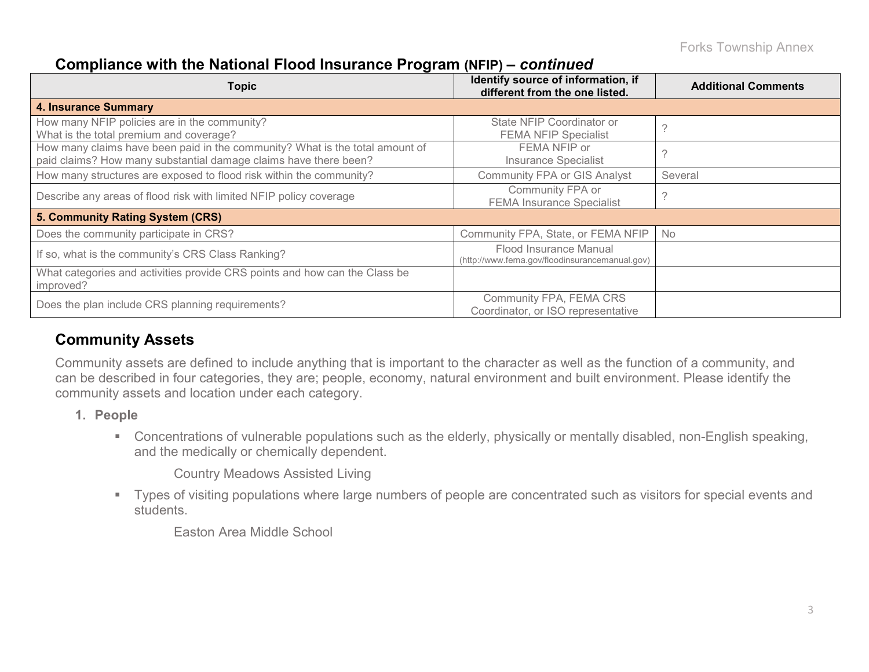### **Compliance with the National Flood Insurance Program (NFIP) –** *continued*

| <b>Topic</b>                                                                                                                                     | Identify source of information, if<br>different from the one listed.     | <b>Additional Comments</b> |
|--------------------------------------------------------------------------------------------------------------------------------------------------|--------------------------------------------------------------------------|----------------------------|
| <b>4. Insurance Summary</b>                                                                                                                      |                                                                          |                            |
| How many NFIP policies are in the community?<br>What is the total premium and coverage?                                                          | State NFIP Coordinator or<br><b>FEMA NFIP Specialist</b>                 |                            |
| How many claims have been paid in the community? What is the total amount of<br>paid claims? How many substantial damage claims have there been? | FEMA NFIP or<br><b>Insurance Specialist</b>                              |                            |
| How many structures are exposed to flood risk within the community?                                                                              | <b>Community FPA or GIS Analyst</b>                                      | Several                    |
| Describe any areas of flood risk with limited NFIP policy coverage                                                                               | Community FPA or<br><b>FEMA Insurance Specialist</b>                     |                            |
| 5. Community Rating System (CRS)                                                                                                                 |                                                                          |                            |
| Does the community participate in CRS?                                                                                                           | Community FPA, State, or FEMA NFIP                                       | No                         |
| If so, what is the community's CRS Class Ranking?                                                                                                | Flood Insurance Manual<br>(http://www.fema.gov/floodinsurancemanual.gov) |                            |
| What categories and activities provide CRS points and how can the Class be<br>improved?                                                          |                                                                          |                            |
| Does the plan include CRS planning requirements?                                                                                                 | Community FPA, FEMA CRS<br>Coordinator, or ISO representative            |                            |

### **Community Assets**

Community assets are defined to include anything that is important to the character as well as the function of a community, and can be described in four categories, they are; people, economy, natural environment and built environment. Please identify the community assets and location under each category.

- **1. People**
	- Concentrations of vulnerable populations such as the elderly, physically or mentally disabled, non-English speaking, and the medically or chemically dependent.

Country Meadows Assisted Living

 Types of visiting populations where large numbers of people are concentrated such as visitors for special events and students.

Easton Area Middle School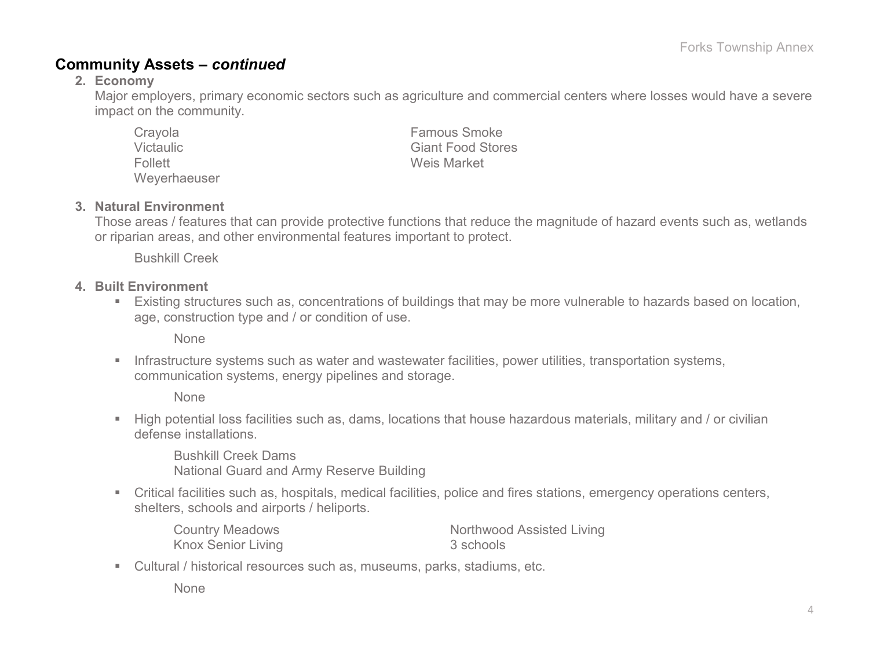### **Community Assets –** *continued*

#### **2. Economy**

Major employers, primary economic sectors such as agriculture and commercial centers where losses would have a severe impact on the community.

| Crayola      | <b>Famous Smoke</b>      |
|--------------|--------------------------|
| Victaulic    | <b>Giant Food Stores</b> |
| Follett      | Weis Market              |
| Weverhaeuser |                          |

#### **3. Natural Environment**

Those areas / features that can provide protective functions that reduce the magnitude of hazard events such as, wetlands or riparian areas, and other environmental features important to protect.

Bushkill Creek

#### **4. Built Environment**

 Existing structures such as, concentrations of buildings that may be more vulnerable to hazards based on location, age, construction type and / or condition of use.

None

**Infrastructure systems such as water and wastewater facilities, power utilities, transportation systems,** communication systems, energy pipelines and storage.

None

 High potential loss facilities such as, dams, locations that house hazardous materials, military and / or civilian defense installations.

Bushkill Creek Dams National Guard and Army Reserve Building

 Critical facilities such as, hospitals, medical facilities, police and fires stations, emergency operations centers, shelters, schools and airports / heliports.

| <b>Country Meadows</b> | Northwood Assisted Living |
|------------------------|---------------------------|
| Knox Senior Living     | 3 schools                 |

Cultural / historical resources such as, museums, parks, stadiums, etc.

None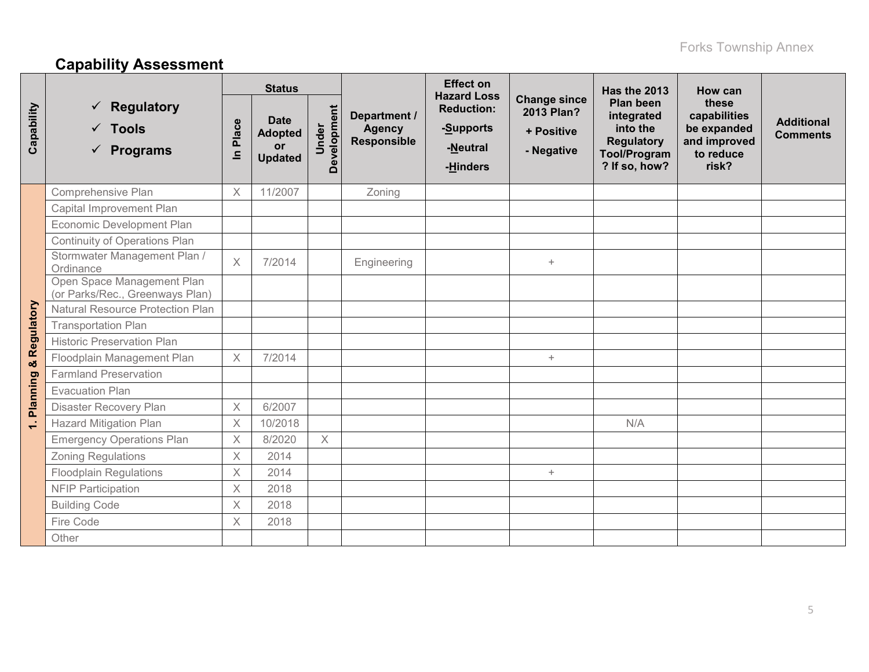# **Capability Assessment**

|              |                                                                       | <b>Status</b>           |                                                              |                      |                                              | <b>Effect on</b><br><b>Hazard Loss</b>                 |                                                               | Has the 2013                                                                                     | How can                                                                    |                                      |
|--------------|-----------------------------------------------------------------------|-------------------------|--------------------------------------------------------------|----------------------|----------------------------------------------|--------------------------------------------------------|---------------------------------------------------------------|--------------------------------------------------------------------------------------------------|----------------------------------------------------------------------------|--------------------------------------|
| Capability   | <b>Regulatory</b><br>✓<br>$\checkmark$ Tools<br>$\checkmark$ Programs | Place<br>르              | <b>Date</b><br><b>Adopted</b><br><b>or</b><br><b>Updated</b> | Development<br>Under | Department /<br><b>Agency</b><br>Responsible | <b>Reduction:</b><br>-Supports<br>-Neutral<br>-Hinders | <b>Change since</b><br>2013 Plan?<br>+ Positive<br>- Negative | Plan been<br>integrated<br>into the<br><b>Regulatory</b><br><b>Tool/Program</b><br>? If so, how? | these<br>capabilities<br>be expanded<br>and improved<br>to reduce<br>risk? | <b>Additional</b><br><b>Comments</b> |
|              | Comprehensive Plan                                                    | $\times$                | 11/2007                                                      |                      | Zoning                                       |                                                        |                                                               |                                                                                                  |                                                                            |                                      |
|              | Capital Improvement Plan                                              |                         |                                                              |                      |                                              |                                                        |                                                               |                                                                                                  |                                                                            |                                      |
|              | Economic Development Plan                                             |                         |                                                              |                      |                                              |                                                        |                                                               |                                                                                                  |                                                                            |                                      |
|              | Continuity of Operations Plan                                         |                         |                                                              |                      |                                              |                                                        |                                                               |                                                                                                  |                                                                            |                                      |
|              | Stormwater Management Plan /<br>Ordinance                             | $\times$                | 7/2014                                                       |                      | Engineering                                  |                                                        | $+$                                                           |                                                                                                  |                                                                            |                                      |
|              | Open Space Management Plan<br>(or Parks/Rec., Greenways Plan)         |                         |                                                              |                      |                                              |                                                        |                                                               |                                                                                                  |                                                                            |                                      |
|              | <b>Natural Resource Protection Plan</b>                               |                         |                                                              |                      |                                              |                                                        |                                                               |                                                                                                  |                                                                            |                                      |
|              | <b>Transportation Plan</b>                                            |                         |                                                              |                      |                                              |                                                        |                                                               |                                                                                                  |                                                                            |                                      |
| & Regulatory | <b>Historic Preservation Plan</b>                                     |                         |                                                              |                      |                                              |                                                        |                                                               |                                                                                                  |                                                                            |                                      |
|              | Floodplain Management Plan                                            | $\times$                | 7/2014                                                       |                      |                                              |                                                        | $+$                                                           |                                                                                                  |                                                                            |                                      |
|              | <b>Farmland Preservation</b>                                          |                         |                                                              |                      |                                              |                                                        |                                                               |                                                                                                  |                                                                            |                                      |
|              | <b>Evacuation Plan</b>                                                |                         |                                                              |                      |                                              |                                                        |                                                               |                                                                                                  |                                                                            |                                      |
| Planning     | Disaster Recovery Plan                                                | $\times$                | 6/2007                                                       |                      |                                              |                                                        |                                                               |                                                                                                  |                                                                            |                                      |
| $\div$       | <b>Hazard Mitigation Plan</b>                                         | $\times$                | 10/2018                                                      |                      |                                              |                                                        |                                                               | N/A                                                                                              |                                                                            |                                      |
|              | <b>Emergency Operations Plan</b>                                      | $\overline{\mathsf{X}}$ | 8/2020                                                       | $\times$             |                                              |                                                        |                                                               |                                                                                                  |                                                                            |                                      |
|              | <b>Zoning Regulations</b>                                             | $\times$                | 2014                                                         |                      |                                              |                                                        |                                                               |                                                                                                  |                                                                            |                                      |
|              | <b>Floodplain Regulations</b>                                         | $\times$                | 2014                                                         |                      |                                              |                                                        | $+$                                                           |                                                                                                  |                                                                            |                                      |
|              | <b>NFIP Participation</b>                                             | $\times$                | 2018                                                         |                      |                                              |                                                        |                                                               |                                                                                                  |                                                                            |                                      |
|              | <b>Building Code</b>                                                  | X                       | 2018                                                         |                      |                                              |                                                        |                                                               |                                                                                                  |                                                                            |                                      |
|              | Fire Code                                                             | $\times$                | 2018                                                         |                      |                                              |                                                        |                                                               |                                                                                                  |                                                                            |                                      |
|              | Other                                                                 |                         |                                                              |                      |                                              |                                                        |                                                               |                                                                                                  |                                                                            |                                      |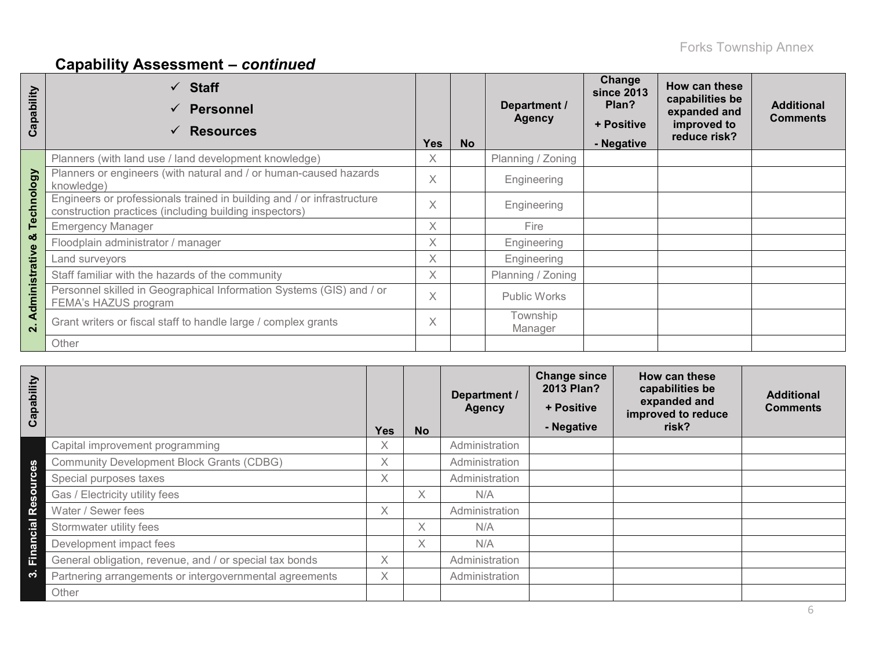# **Capability Assessment –** *continued*

| apability<br>ပ | $\checkmark$ Staff<br><b>Personnel</b><br>$\checkmark$<br><b>Resources</b><br>$\checkmark$                                       | <b>Yes</b> | <b>No</b> | Department /<br><b>Agency</b> | Change<br><b>since 2013</b><br>Plan?<br>+ Positive<br>- Negative | How can these<br>capabilities be<br>expanded and<br>improved to<br>reduce risk? | <b>Additional</b><br><b>Comments</b> |
|----------------|----------------------------------------------------------------------------------------------------------------------------------|------------|-----------|-------------------------------|------------------------------------------------------------------|---------------------------------------------------------------------------------|--------------------------------------|
|                | Planners (with land use / land development knowledge)                                                                            | X          |           | Planning / Zoning             |                                                                  |                                                                                 |                                      |
| කි             | Planners or engineers (with natural and / or human-caused hazards<br>knowledge)                                                  | $\times$   |           | Engineering                   |                                                                  |                                                                                 |                                      |
| Technolo       | Engineers or professionals trained in building and / or infrastructure<br>construction practices (including building inspectors) |            |           | Engineering                   |                                                                  |                                                                                 |                                      |
|                | <b>Emergency Manager</b>                                                                                                         |            |           | Fire                          |                                                                  |                                                                                 |                                      |
| య              | Floodplain administrator / manager                                                                                               | $\times$   |           | Engineering                   |                                                                  |                                                                                 |                                      |
|                | Land surveyors                                                                                                                   | X          |           | Engineering                   |                                                                  |                                                                                 |                                      |
|                | Staff familiar with the hazards of the community                                                                                 |            |           | Planning / Zoning             |                                                                  |                                                                                 |                                      |
| Administrative | Personnel skilled in Geographical Information Systems (GIS) and / or<br>FEMA's HAZUS program                                     | $\times$   |           | <b>Public Works</b>           |                                                                  |                                                                                 |                                      |
| $\mathbf{N}$   | Grant writers or fiscal staff to handle large / complex grants                                                                   | X          |           | Township<br>Manager           |                                                                  |                                                                                 |                                      |
|                | Other                                                                                                                            |            |           |                               |                                                                  |                                                                                 |                                      |

| Capability |                                                         | <b>Yes</b> | <b>No</b> | Department /<br><b>Agency</b> | <b>Change since</b><br>2013 Plan?<br>+ Positive<br>- Negative | How can these<br>capabilities be<br>expanded and<br>improved to reduce<br>risk? | <b>Additional</b><br><b>Comments</b> |
|------------|---------------------------------------------------------|------------|-----------|-------------------------------|---------------------------------------------------------------|---------------------------------------------------------------------------------|--------------------------------------|
|            | Capital improvement programming                         | X          |           | Administration                |                                                               |                                                                                 |                                      |
|            | <b>Community Development Block Grants (CDBG)</b>        | $\times$   |           | Administration                |                                                               |                                                                                 |                                      |
| Resources  | Special purposes taxes                                  | X          |           | Administration                |                                                               |                                                                                 |                                      |
|            | Gas / Electricity utility fees                          |            | X.        | N/A                           |                                                               |                                                                                 |                                      |
|            | Water / Sewer fees                                      | X          |           | Administration                |                                                               |                                                                                 |                                      |
|            | Stormwater utility fees                                 |            | X.        | N/A                           |                                                               |                                                                                 |                                      |
| Financial  | Development impact fees                                 |            | X         | N/A                           |                                                               |                                                                                 |                                      |
|            | General obligation, revenue, and / or special tax bonds | X          |           | Administration                |                                                               |                                                                                 |                                      |
| က          | Partnering arrangements or intergovernmental agreements | $\times$   |           | Administration                |                                                               |                                                                                 |                                      |
|            | Other                                                   |            |           |                               |                                                               |                                                                                 |                                      |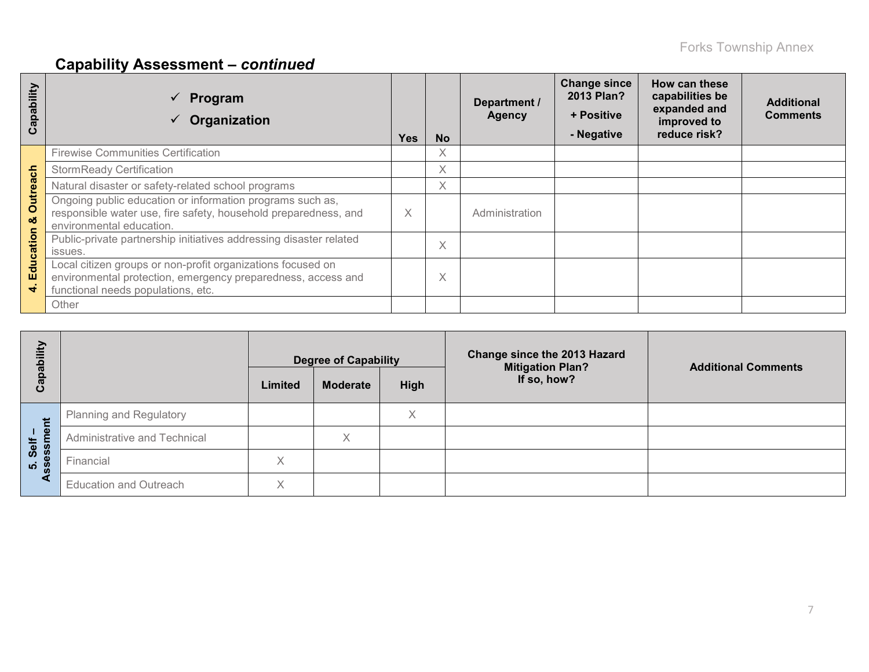# **Capability Assessment –** *continued*

| ability<br>ap<br>ပ          | Program<br>Organization                                                                                                                                           | Yes | <b>No</b> | Department /<br><b>Agency</b> | <b>Change since</b><br>2013 Plan?<br>+ Positive<br>- Negative | How can these<br>capabilities be<br>expanded and<br>improved to<br>reduce risk? | <b>Additional</b><br><b>Comments</b> |
|-----------------------------|-------------------------------------------------------------------------------------------------------------------------------------------------------------------|-----|-----------|-------------------------------|---------------------------------------------------------------|---------------------------------------------------------------------------------|--------------------------------------|
|                             | <b>Firewise Communities Certification</b>                                                                                                                         |     | X         |                               |                                                               |                                                                                 |                                      |
|                             | <b>StormReady Certification</b>                                                                                                                                   |     | X         |                               |                                                               |                                                                                 |                                      |
|                             | Natural disaster or safety-related school programs                                                                                                                |     | X         |                               |                                                               |                                                                                 |                                      |
| <b>Outreach</b><br>ೲ        | Ongoing public education or information programs such as,<br>responsible water use, fire safety, household preparedness, and<br>environmental education.          | X   |           | Administration                |                                                               |                                                                                 |                                      |
| atio<br>$\mathbf c$         | Public-private partnership initiatives addressing disaster related<br>issues.                                                                                     |     | X         |                               |                                                               |                                                                                 |                                      |
| Edu<br>$\blacktriangleleft$ | Local citizen groups or non-profit organizations focused on<br>environmental protection, emergency preparedness, access and<br>functional needs populations, etc. |     | X         |                               |                                                               |                                                                                 |                                      |
|                             | Other                                                                                                                                                             |     |           |                               |                                                               |                                                                                 |                                      |

| pability                 |                                | <b>Degree of Capability</b> |                 |             | Change since the 2013 Hazard<br><b>Mitigation Plan?</b> | <b>Additional Comments</b> |  |
|--------------------------|--------------------------------|-----------------------------|-----------------|-------------|---------------------------------------------------------|----------------------------|--|
| ලි                       |                                | Limited                     | <b>Moderate</b> | <b>High</b> | If so, how?                                             |                            |  |
| だ                        | <b>Planning and Regulatory</b> |                             |                 | X           |                                                         |                            |  |
| ூ<br>Self                | Administrative and Technical   |                             | X               |             |                                                         |                            |  |
| <b>SSes</b><br><b>10</b> | Financial                      | X                           |                 |             |                                                         |                            |  |
|                          | <b>Education and Outreach</b>  | X                           |                 |             |                                                         |                            |  |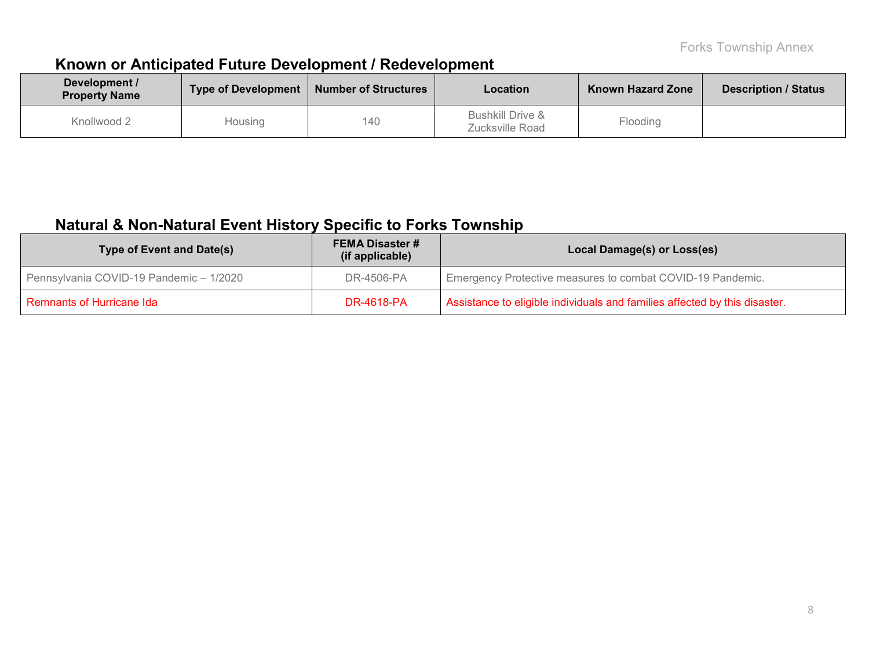## **Known or Anticipated Future Development / Redevelopment**

| Development /<br><b>Property Name</b> | Type of Development | <b>Number of Structures</b> | Location                                       | <b>Known Hazard Zone</b> | <b>Description / Status</b> |
|---------------------------------------|---------------------|-----------------------------|------------------------------------------------|--------------------------|-----------------------------|
| Knollwood 2                           | Housing             | 140                         | <b>Bushkill Drive &amp;</b><br>Zucksville Road | Flooding                 |                             |

## **Natural & Non-Natural Event History Specific to Forks Township**

| <b>Type of Event and Date(s)</b>        | <b>FEMA Disaster #</b><br>(if applicable) | Local Damage(s) or Loss(es)                                                |
|-----------------------------------------|-------------------------------------------|----------------------------------------------------------------------------|
| Pennsylvania COVID-19 Pandemic - 1/2020 | DR-4506-PA                                | Emergency Protective measures to combat COVID-19 Pandemic.                 |
| Remnants of Hurricane Ida               | <b>DR-4618-PA</b>                         | Assistance to eligible individuals and families affected by this disaster. |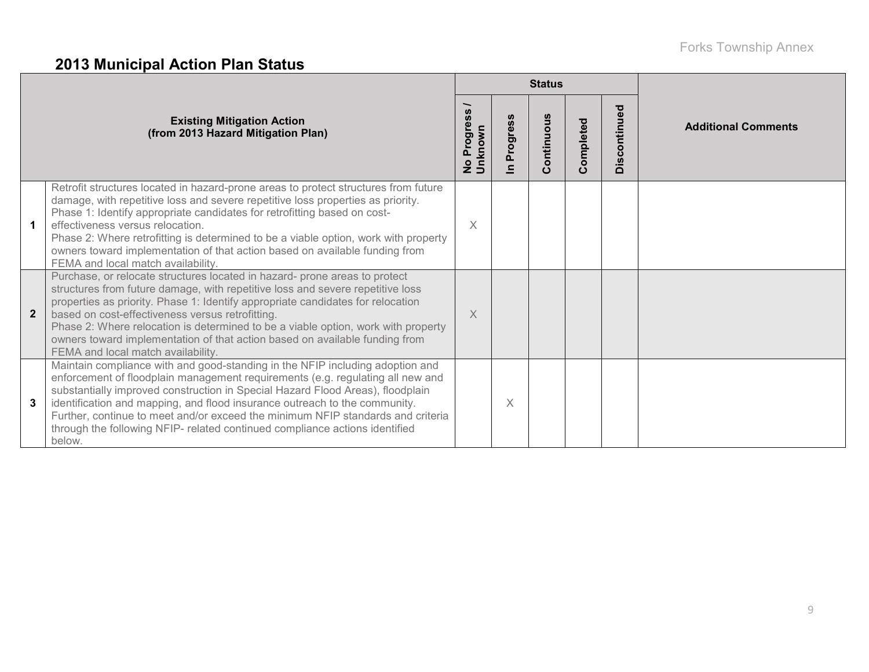# **2013 Municipal Action Plan Status**

|                |                                                                                                                                                                                                                                                                                                                                                                                                                                                                                                               |                                      |                                           | <b>Status</b> |          |              |                            |  |  |
|----------------|---------------------------------------------------------------------------------------------------------------------------------------------------------------------------------------------------------------------------------------------------------------------------------------------------------------------------------------------------------------------------------------------------------------------------------------------------------------------------------------------------------------|--------------------------------------|-------------------------------------------|---------------|----------|--------------|----------------------------|--|--|
|                | <b>Existing Mitigation Action</b><br>(from 2013 Hazard Mitigation Plan)                                                                                                                                                                                                                                                                                                                                                                                                                                       | Progress<br>Unknown<br>$\frac{1}{2}$ | <b>S</b><br>rogres<br>௳<br>$\blacksquare$ | Continuous    | ompleted | Discontinued | <b>Additional Comments</b> |  |  |
|                | Retrofit structures located in hazard-prone areas to protect structures from future<br>damage, with repetitive loss and severe repetitive loss properties as priority.<br>Phase 1: Identify appropriate candidates for retrofitting based on cost-<br>effectiveness versus relocation.<br>Phase 2: Where retrofitting is determined to be a viable option, work with property<br>owners toward implementation of that action based on available funding from<br>FEMA and local match availability.            | X.                                   |                                           |               |          |              |                            |  |  |
| $\overline{2}$ | Purchase, or relocate structures located in hazard- prone areas to protect<br>structures from future damage, with repetitive loss and severe repetitive loss<br>properties as priority. Phase 1: Identify appropriate candidates for relocation<br>based on cost-effectiveness versus retrofitting.<br>Phase 2: Where relocation is determined to be a viable option, work with property<br>owners toward implementation of that action based on available funding from<br>FEMA and local match availability. | $\times$                             |                                           |               |          |              |                            |  |  |
| 3              | Maintain compliance with and good-standing in the NFIP including adoption and<br>enforcement of floodplain management requirements (e.g. regulating all new and<br>substantially improved construction in Special Hazard Flood Areas), floodplain<br>identification and mapping, and flood insurance outreach to the community.<br>Further, continue to meet and/or exceed the minimum NFIP standards and criteria<br>through the following NFIP- related continued compliance actions identified<br>below.   |                                      | X                                         |               |          |              |                            |  |  |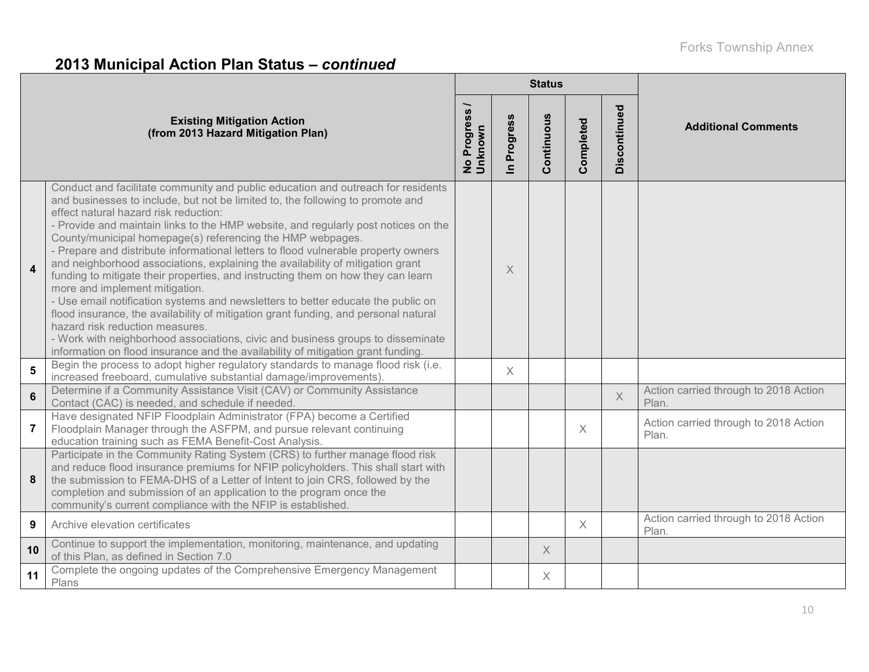# **2013 Municipal Action Plan Status –** *continued*

|                 |                                                                                                                                                                                                                                                                                                                                                                                                                                                                                                                                                                                                                                                                                                                                                                                                                                                                                                                                                                                                                                                    |                          |                            | <b>Status</b> |           |              |                                                |  |  |
|-----------------|----------------------------------------------------------------------------------------------------------------------------------------------------------------------------------------------------------------------------------------------------------------------------------------------------------------------------------------------------------------------------------------------------------------------------------------------------------------------------------------------------------------------------------------------------------------------------------------------------------------------------------------------------------------------------------------------------------------------------------------------------------------------------------------------------------------------------------------------------------------------------------------------------------------------------------------------------------------------------------------------------------------------------------------------------|--------------------------|----------------------------|---------------|-----------|--------------|------------------------------------------------|--|--|
|                 | <b>Existing Mitigation Action</b><br>(from 2013 Hazard Mitigation Plan)                                                                                                                                                                                                                                                                                                                                                                                                                                                                                                                                                                                                                                                                                                                                                                                                                                                                                                                                                                            | No Progress /<br>Unknown | Progress<br>$\overline{=}$ | Continuous    | Completed | Discontinued | <b>Additional Comments</b>                     |  |  |
| $\overline{4}$  | Conduct and facilitate community and public education and outreach for residents<br>and businesses to include, but not be limited to, the following to promote and<br>effect natural hazard risk reduction:<br>- Provide and maintain links to the HMP website, and regularly post notices on the<br>County/municipal homepage(s) referencing the HMP webpages.<br>- Prepare and distribute informational letters to flood vulnerable property owners<br>and neighborhood associations, explaining the availability of mitigation grant<br>funding to mitigate their properties, and instructing them on how they can learn<br>more and implement mitigation.<br>- Use email notification systems and newsletters to better educate the public on<br>flood insurance, the availability of mitigation grant funding, and personal natural<br>hazard risk reduction measures.<br>- Work with neighborhood associations, civic and business groups to disseminate<br>information on flood insurance and the availability of mitigation grant funding. |                          | Χ                          |               |           |              |                                                |  |  |
| $5\phantom{1}$  | Begin the process to adopt higher regulatory standards to manage flood risk (i.e.<br>increased freeboard, cumulative substantial damage/improvements).                                                                                                                                                                                                                                                                                                                                                                                                                                                                                                                                                                                                                                                                                                                                                                                                                                                                                             |                          | X                          |               |           |              |                                                |  |  |
| $6\phantom{1}$  | Determine if a Community Assistance Visit (CAV) or Community Assistance<br>Contact (CAC) is needed, and schedule if needed.                                                                                                                                                                                                                                                                                                                                                                                                                                                                                                                                                                                                                                                                                                                                                                                                                                                                                                                        |                          |                            |               |           | $\times$     | Action carried through to 2018 Action<br>Plan. |  |  |
| $\overline{7}$  | Have designated NFIP Floodplain Administrator (FPA) become a Certified<br>Floodplain Manager through the ASFPM, and pursue relevant continuing<br>education training such as FEMA Benefit-Cost Analysis.                                                                                                                                                                                                                                                                                                                                                                                                                                                                                                                                                                                                                                                                                                                                                                                                                                           |                          |                            |               | $\chi$    |              | Action carried through to 2018 Action<br>Plan. |  |  |
| 8               | Participate in the Community Rating System (CRS) to further manage flood risk<br>and reduce flood insurance premiums for NFIP policyholders. This shall start with<br>the submission to FEMA-DHS of a Letter of Intent to join CRS, followed by the<br>completion and submission of an application to the program once the<br>community's current compliance with the NFIP is established.                                                                                                                                                                                                                                                                                                                                                                                                                                                                                                                                                                                                                                                         |                          |                            |               |           |              |                                                |  |  |
| 9               | Archive elevation certificates                                                                                                                                                                                                                                                                                                                                                                                                                                                                                                                                                                                                                                                                                                                                                                                                                                                                                                                                                                                                                     |                          |                            |               | $\times$  |              | Action carried through to 2018 Action<br>Plan. |  |  |
| 10 <sup>1</sup> | Continue to support the implementation, monitoring, maintenance, and updating<br>of this Plan, as defined in Section 7.0                                                                                                                                                                                                                                                                                                                                                                                                                                                                                                                                                                                                                                                                                                                                                                                                                                                                                                                           |                          |                            | $\times$      |           |              |                                                |  |  |
| 11              | Complete the ongoing updates of the Comprehensive Emergency Management<br>Plans                                                                                                                                                                                                                                                                                                                                                                                                                                                                                                                                                                                                                                                                                                                                                                                                                                                                                                                                                                    |                          |                            | Χ             |           |              |                                                |  |  |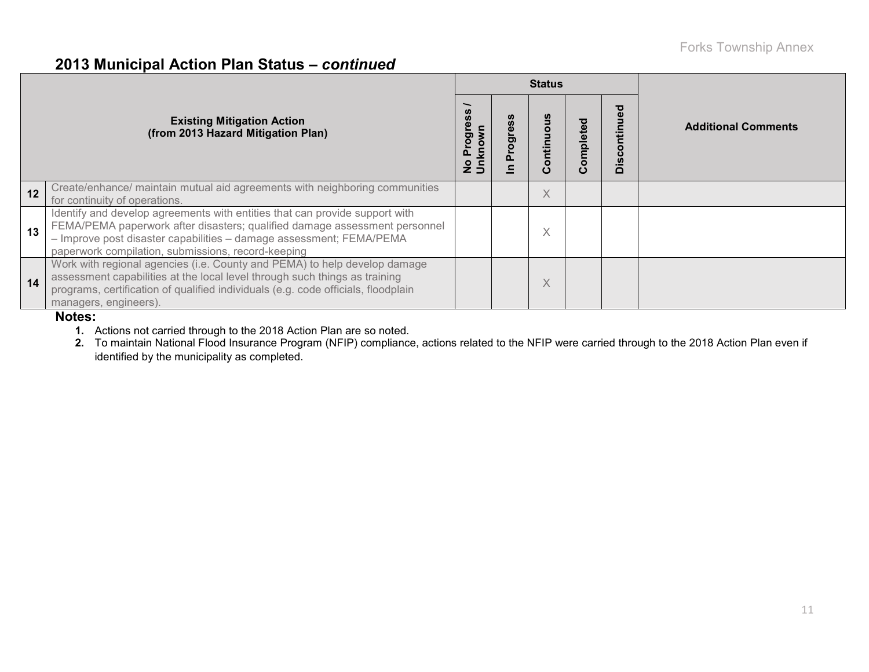### **2013 Municipal Action Plan Status –** *continued*

|    |                                                                                                                                                                                                                                                                                        |                             |   | <b>Status</b> |          |                        |                            |  |  |
|----|----------------------------------------------------------------------------------------------------------------------------------------------------------------------------------------------------------------------------------------------------------------------------------------|-----------------------------|---|---------------|----------|------------------------|----------------------------|--|--|
|    | <b>Existing Mitigation Action</b><br>(from 2013 Hazard Mitigation Plan)                                                                                                                                                                                                                | Progre<br>$\circ$<br>혼<br>ş | ත | Continuous    | ompleted | ್ಠಾ<br>ntinu<br>Discor | <b>Additional Comments</b> |  |  |
| 12 | Create/enhance/ maintain mutual aid agreements with neighboring communities<br>for continuity of operations.                                                                                                                                                                           |                             |   | X             |          |                        |                            |  |  |
| 13 | Identify and develop agreements with entities that can provide support with<br>FEMA/PEMA paperwork after disasters; qualified damage assessment personnel<br>- Improve post disaster capabilities - damage assessment; FEMA/PEMA<br>paperwork compilation, submissions, record-keeping |                             |   | X             |          |                        |                            |  |  |
| 14 | Work with regional agencies (i.e. County and PEMA) to help develop damage<br>assessment capabilities at the local level through such things as training<br>programs, certification of qualified individuals (e.g. code officials, floodplain<br>managers, engineers).                  |                             |   | X             |          |                        |                            |  |  |

#### **Notes:**

**1.** Actions not carried through to the 2018 Action Plan are so noted.

**2.** To maintain National Flood Insurance Program (NFIP) compliance, actions related to the NFIP were carried through to the 2018 Action Plan even if identified by the municipality as completed.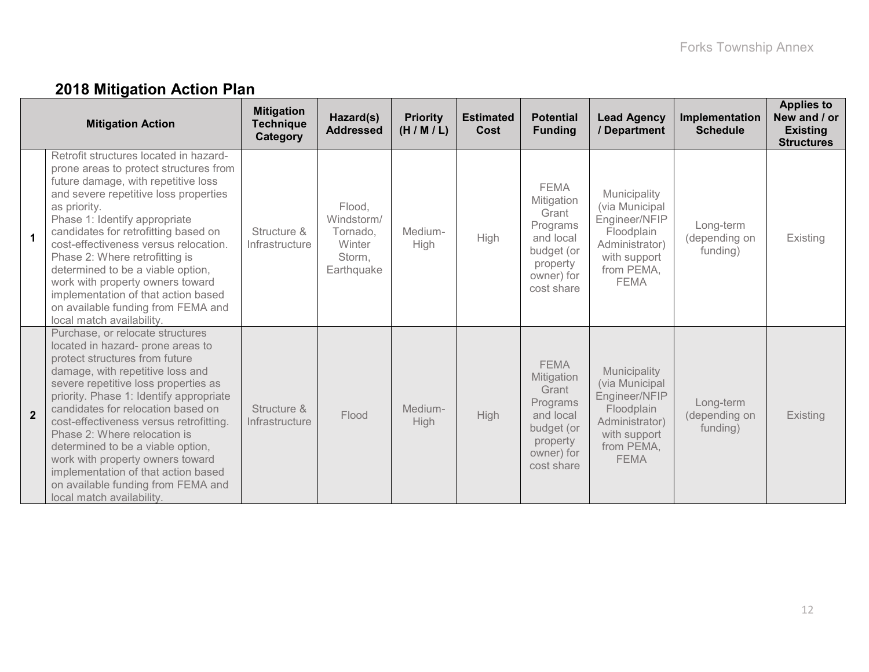# **2018 Mitigation Action Plan**

|                | <b>Mitigation Action</b>                                                                                                                                                                                                                                                                                                                                                                                                                                                                                                           | <b>Mitigation</b><br><b>Technique</b><br>Category | Hazard(s)<br><b>Addressed</b>                                      | <b>Priority</b><br>(H/M/L) | <b>Estimated</b><br>Cost | <b>Potential</b><br><b>Funding</b>                                                                                | <b>Lead Agency</b><br>/ Department                                                                                           | Implementation<br><b>Schedule</b>      | <b>Applies to</b><br>New and / or<br><b>Existing</b><br><b>Structures</b> |
|----------------|------------------------------------------------------------------------------------------------------------------------------------------------------------------------------------------------------------------------------------------------------------------------------------------------------------------------------------------------------------------------------------------------------------------------------------------------------------------------------------------------------------------------------------|---------------------------------------------------|--------------------------------------------------------------------|----------------------------|--------------------------|-------------------------------------------------------------------------------------------------------------------|------------------------------------------------------------------------------------------------------------------------------|----------------------------------------|---------------------------------------------------------------------------|
| $\mathbf{1}$   | Retrofit structures located in hazard-<br>prone areas to protect structures from<br>future damage, with repetitive loss<br>and severe repetitive loss properties<br>as priority.<br>Phase 1: Identify appropriate<br>candidates for retrofitting based on<br>cost-effectiveness versus relocation.<br>Phase 2: Where retrofitting is<br>determined to be a viable option,<br>work with property owners toward<br>implementation of that action based<br>on available funding from FEMA and<br>local match availability.            | Structure &<br>Infrastructure                     | Flood,<br>Windstorm/<br>Tornado.<br>Winter<br>Storm,<br>Earthquake | Medium-<br>High            | High                     | <b>FEMA</b><br>Mitigation<br>Grant<br>Programs<br>and local<br>budget (or<br>property<br>owner) for<br>cost share | Municipality<br>(via Municipal<br>Engineer/NFIP<br>Floodplain<br>Administrator)<br>with support<br>from PEMA,<br><b>FEMA</b> | Long-term<br>(depending on<br>funding) | Existing                                                                  |
| $\overline{2}$ | Purchase, or relocate structures<br>located in hazard- prone areas to<br>protect structures from future<br>damage, with repetitive loss and<br>severe repetitive loss properties as<br>priority. Phase 1: Identify appropriate<br>candidates for relocation based on<br>cost-effectiveness versus retrofitting.<br>Phase 2: Where relocation is<br>determined to be a viable option,<br>work with property owners toward<br>implementation of that action based<br>on available funding from FEMA and<br>local match availability. | Structure &<br>Infrastructure                     | Flood                                                              | Medium-<br>High            | <b>High</b>              | <b>FEMA</b><br>Mitigation<br>Grant<br>Programs<br>and local<br>budget (or<br>property<br>owner) for<br>cost share | Municipality<br>(via Municipal<br>Engineer/NFIP<br>Floodplain<br>Administrator)<br>with support<br>from PEMA,<br><b>FEMA</b> | Long-term<br>(depending on<br>funding) | Existing                                                                  |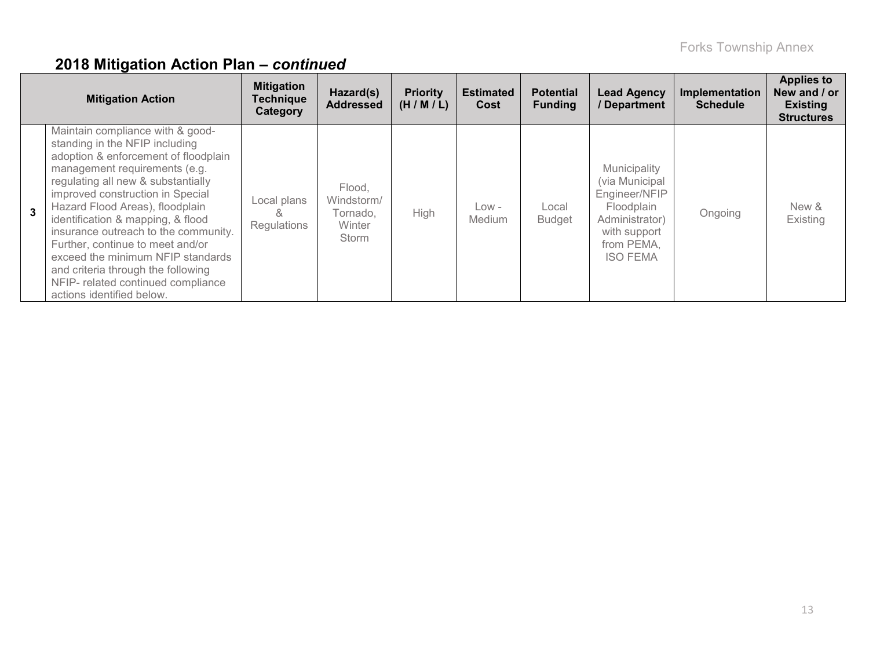|   | <b>Mitigation Action</b>                                                                                                                                                                                                                                                                                                                                                                                                                                                                                                | <b>Mitigation</b><br><b>Technique</b><br>Category | Hazard(s)<br><b>Addressed</b>                       | <b>Priority</b><br>(H/M/L) | <b>Estimated</b><br>Cost | <b>Potential</b><br><b>Funding</b> | <b>Lead Agency</b><br>/ Department                                                                                               | Implementation<br><b>Schedule</b> | <b>Applies to</b><br>New and / or<br><b>Existing</b><br><b>Structures</b> |
|---|-------------------------------------------------------------------------------------------------------------------------------------------------------------------------------------------------------------------------------------------------------------------------------------------------------------------------------------------------------------------------------------------------------------------------------------------------------------------------------------------------------------------------|---------------------------------------------------|-----------------------------------------------------|----------------------------|--------------------------|------------------------------------|----------------------------------------------------------------------------------------------------------------------------------|-----------------------------------|---------------------------------------------------------------------------|
| 3 | Maintain compliance with & good-<br>standing in the NFIP including<br>adoption & enforcement of floodplain<br>management requirements (e.g.<br>regulating all new & substantially<br>improved construction in Special<br>Hazard Flood Areas), floodplain<br>identification & mapping, & flood<br>insurance outreach to the community.<br>Further, continue to meet and/or<br>exceed the minimum NFIP standards<br>and criteria through the following<br>NFIP- related continued compliance<br>actions identified below. | Local plans<br>Regulations                        | Flood,<br>Windstorm/<br>Tornado.<br>Winter<br>Storm | High                       | Low -<br><b>Medium</b>   | Local<br><b>Budget</b>             | Municipality<br>(via Municipal<br>Engineer/NFIP<br>Floodplain<br>Administrator)<br>with support<br>from PEMA,<br><b>ISO FEMA</b> | Ongoing                           | New &<br>Existing                                                         |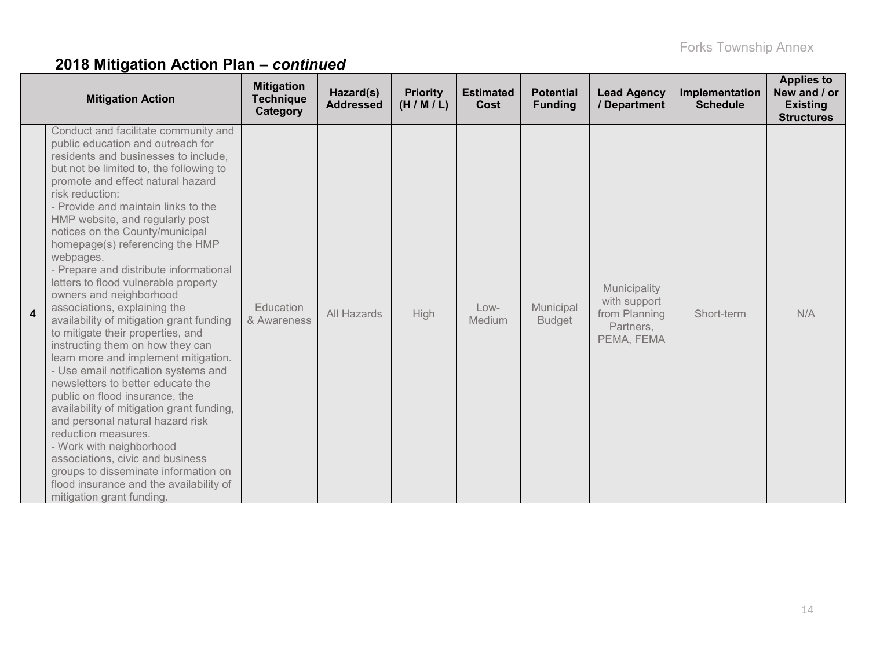|   | <b>Mitigation Action</b>                                                                                                                                                                                                                                                                                                                                                                                                                                                                                                                                                                                                                                                                                                                                                                                                                                                                                                                                                                                                                                                                           | <b>Mitigation</b><br><b>Technique</b><br>Category | Hazard(s)<br><b>Addressed</b> | <b>Priority</b><br>(H/M/L) | <b>Estimated</b><br>Cost | <b>Potential</b><br><b>Funding</b> | <b>Lead Agency</b><br>/ Department                                       | Implementation<br><b>Schedule</b> | <b>Applies to</b><br>New and / or<br><b>Existing</b><br><b>Structures</b> |
|---|----------------------------------------------------------------------------------------------------------------------------------------------------------------------------------------------------------------------------------------------------------------------------------------------------------------------------------------------------------------------------------------------------------------------------------------------------------------------------------------------------------------------------------------------------------------------------------------------------------------------------------------------------------------------------------------------------------------------------------------------------------------------------------------------------------------------------------------------------------------------------------------------------------------------------------------------------------------------------------------------------------------------------------------------------------------------------------------------------|---------------------------------------------------|-------------------------------|----------------------------|--------------------------|------------------------------------|--------------------------------------------------------------------------|-----------------------------------|---------------------------------------------------------------------------|
| 4 | Conduct and facilitate community and<br>public education and outreach for<br>residents and businesses to include,<br>but not be limited to, the following to<br>promote and effect natural hazard<br>risk reduction:<br>- Provide and maintain links to the<br>HMP website, and regularly post<br>notices on the County/municipal<br>homepage(s) referencing the HMP<br>webpages.<br>- Prepare and distribute informational<br>letters to flood vulnerable property<br>owners and neighborhood<br>associations, explaining the<br>availability of mitigation grant funding<br>to mitigate their properties, and<br>instructing them on how they can<br>learn more and implement mitigation.<br>- Use email notification systems and<br>newsletters to better educate the<br>public on flood insurance, the<br>availability of mitigation grant funding,<br>and personal natural hazard risk<br>reduction measures.<br>- Work with neighborhood<br>associations, civic and business<br>groups to disseminate information on<br>flood insurance and the availability of<br>mitigation grant funding. | Education<br>& Awareness                          | <b>All Hazards</b>            | High                       | $Low-$<br>Medium         | Municipal<br><b>Budget</b>         | Municipality<br>with support<br>from Planning<br>Partners,<br>PEMA, FEMA | Short-term                        | N/A                                                                       |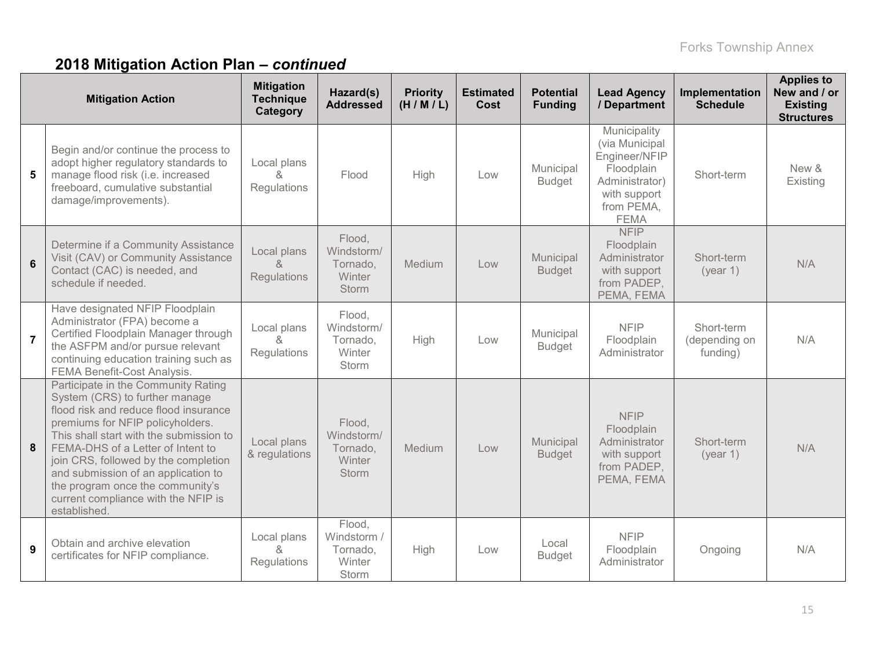|                | <b>Mitigation Action</b>                                                                                                                                                                                                                                                                                                                                                                                     | <b>Mitigation</b><br><b>Technique</b><br>Category | Hazard(s)<br><b>Addressed</b>                                     | <b>Priority</b><br>(H/M/L) | <b>Estimated</b><br>Cost | <b>Potential</b><br><b>Funding</b> | <b>Lead Agency</b><br>/ Department                                                                                           | Implementation<br><b>Schedule</b>       | <b>Applies to</b><br>New and / or<br><b>Existing</b><br><b>Structures</b> |
|----------------|--------------------------------------------------------------------------------------------------------------------------------------------------------------------------------------------------------------------------------------------------------------------------------------------------------------------------------------------------------------------------------------------------------------|---------------------------------------------------|-------------------------------------------------------------------|----------------------------|--------------------------|------------------------------------|------------------------------------------------------------------------------------------------------------------------------|-----------------------------------------|---------------------------------------------------------------------------|
| 5              | Begin and/or continue the process to<br>adopt higher regulatory standards to<br>manage flood risk (i.e. increased<br>freeboard, cumulative substantial<br>damage/improvements).                                                                                                                                                                                                                              | Local plans<br>&<br>Regulations                   | Flood                                                             | High                       | Low                      | Municipal<br><b>Budget</b>         | Municipality<br>(via Municipal<br>Engineer/NFIP<br>Floodplain<br>Administrator)<br>with support<br>from PEMA,<br><b>FEMA</b> | Short-term                              | New &<br>Existing                                                         |
| $6\phantom{1}$ | Determine if a Community Assistance<br>Visit (CAV) or Community Assistance<br>Contact (CAC) is needed, and<br>schedule if needed.                                                                                                                                                                                                                                                                            | Local plans<br>$\alpha$<br>Regulations            | Flood,<br>Windstorm/<br>Tornado,<br><b>Winter</b><br><b>Storm</b> | Medium                     | Low                      | Municipal<br><b>Budget</b>         | <b>NFIP</b><br>Floodplain<br>Administrator<br>with support<br>from PADEP,<br>PEMA, FEMA                                      | Short-term<br>(year 1)                  | N/A                                                                       |
| $\overline{7}$ | Have designated NFIP Floodplain<br>Administrator (FPA) become a<br>Certified Floodplain Manager through<br>the ASFPM and/or pursue relevant<br>continuing education training such as<br><b>FEMA Benefit-Cost Analysis.</b>                                                                                                                                                                                   | Local plans<br>ጼ<br>Regulations                   | Flood,<br>Windstorm/<br>Tornado,<br>Winter<br><b>Storm</b>        | High                       | Low                      | Municipal<br><b>Budget</b>         | <b>NFIP</b><br>Floodplain<br>Administrator                                                                                   | Short-term<br>(depending on<br>funding) | N/A                                                                       |
| 8              | Participate in the Community Rating<br>System (CRS) to further manage<br>flood risk and reduce flood insurance<br>premiums for NFIP policyholders.<br>This shall start with the submission to<br>FEMA-DHS of a Letter of Intent to<br>join CRS, followed by the completion<br>and submission of an application to<br>the program once the community's<br>current compliance with the NFIP is<br>established. | Local plans<br>& regulations                      | Flood,<br>Windstorm/<br>Tornado,<br>Winter<br><b>Storm</b>        | Medium                     | Low                      | Municipal<br><b>Budget</b>         | <b>NFIP</b><br>Floodplain<br>Administrator<br>with support<br>from PADEP,<br>PEMA, FEMA                                      | Short-term<br>(year 1)                  | N/A                                                                       |
| 9              | Obtain and archive elevation<br>certificates for NFIP compliance.                                                                                                                                                                                                                                                                                                                                            | Local plans<br>&<br>Regulations                   | Flood,<br>Windstorm /<br>Tornado,<br>Winter<br>Storm              | High                       | Low                      | Local<br><b>Budget</b>             | <b>NFIP</b><br>Floodplain<br>Administrator                                                                                   | Ongoing                                 | N/A                                                                       |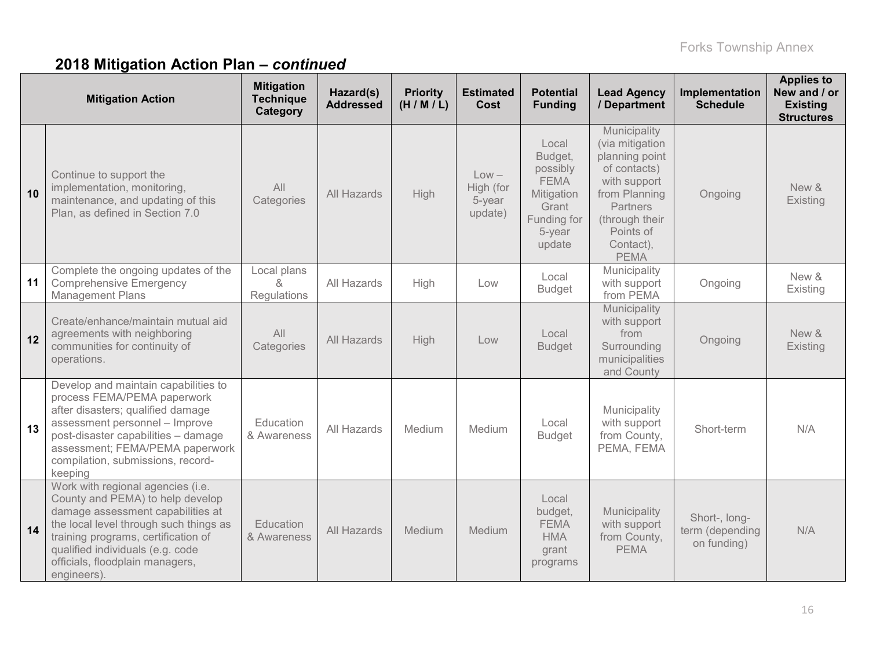|    | <b>Mitigation Action</b>                                                                                                                                                                                                                                                          | <b>Mitigation</b><br><b>Technique</b><br>Category | Hazard(s)<br><b>Addressed</b> | <b>Priority</b><br>(H/M/L) | <b>Estimated</b><br>Cost                  | <b>Potential</b><br><b>Funding</b>                                                                    | <b>Lead Agency</b><br>/ Department                                                                                                                                        | Implementation<br><b>Schedule</b>               | <b>Applies to</b><br>New and / or<br><b>Existing</b><br><b>Structures</b> |
|----|-----------------------------------------------------------------------------------------------------------------------------------------------------------------------------------------------------------------------------------------------------------------------------------|---------------------------------------------------|-------------------------------|----------------------------|-------------------------------------------|-------------------------------------------------------------------------------------------------------|---------------------------------------------------------------------------------------------------------------------------------------------------------------------------|-------------------------------------------------|---------------------------------------------------------------------------|
| 10 | Continue to support the<br>implementation, monitoring,<br>maintenance, and updating of this<br>Plan, as defined in Section 7.0                                                                                                                                                    | All<br>Categories                                 | All Hazards                   | High                       | $Low -$<br>High (for<br>5-year<br>update) | Local<br>Budget,<br>possibly<br><b>FEMA</b><br>Mitigation<br>Grant<br>Funding for<br>5-year<br>update | Municipality<br>(via mitigation<br>planning point<br>of contacts)<br>with support<br>from Planning<br>Partners<br>(through their<br>Points of<br>Contact),<br><b>PEMA</b> | Ongoing                                         | New &<br>Existing                                                         |
| 11 | Complete the ongoing updates of the<br><b>Comprehensive Emergency</b><br><b>Management Plans</b>                                                                                                                                                                                  | Local plans<br>$\lambda$<br>Regulations           | All Hazards                   | High                       | Low                                       | Local<br><b>Budget</b>                                                                                | Municipality<br>with support<br>from PEMA                                                                                                                                 | Ongoing                                         | New &<br>Existing                                                         |
| 12 | Create/enhance/maintain mutual aid<br>agreements with neighboring<br>communities for continuity of<br>operations.                                                                                                                                                                 | All<br>Categories                                 | All Hazards                   | High                       | Low                                       | Local<br><b>Budget</b>                                                                                | Municipality<br>with support<br>from<br>Surrounding<br>municipalities<br>and County                                                                                       | Ongoing                                         | New &<br>Existing                                                         |
| 13 | Develop and maintain capabilities to<br>process FEMA/PEMA paperwork<br>after disasters; qualified damage<br>assessment personnel - Improve<br>post-disaster capabilities - damage<br>assessment; FEMA/PEMA paperwork<br>compilation, submissions, record-<br>keeping              | Education<br>& Awareness                          | All Hazards                   | Medium                     | Medium                                    | Local<br><b>Budget</b>                                                                                | Municipality<br>with support<br>from County,<br>PEMA, FEMA                                                                                                                | Short-term                                      | N/A                                                                       |
| 14 | Work with regional agencies (i.e.<br>County and PEMA) to help develop<br>damage assessment capabilities at<br>the local level through such things as<br>training programs, certification of<br>qualified individuals (e.g. code<br>officials, floodplain managers,<br>engineers). | Education<br>& Awareness                          | All Hazards                   | Medium                     | Medium                                    | Local<br>budget,<br><b>FEMA</b><br><b>HMA</b><br>grant<br>programs                                    | Municipality<br>with support<br>from County,<br><b>PEMA</b>                                                                                                               | Short-, long-<br>term (depending<br>on funding) | N/A                                                                       |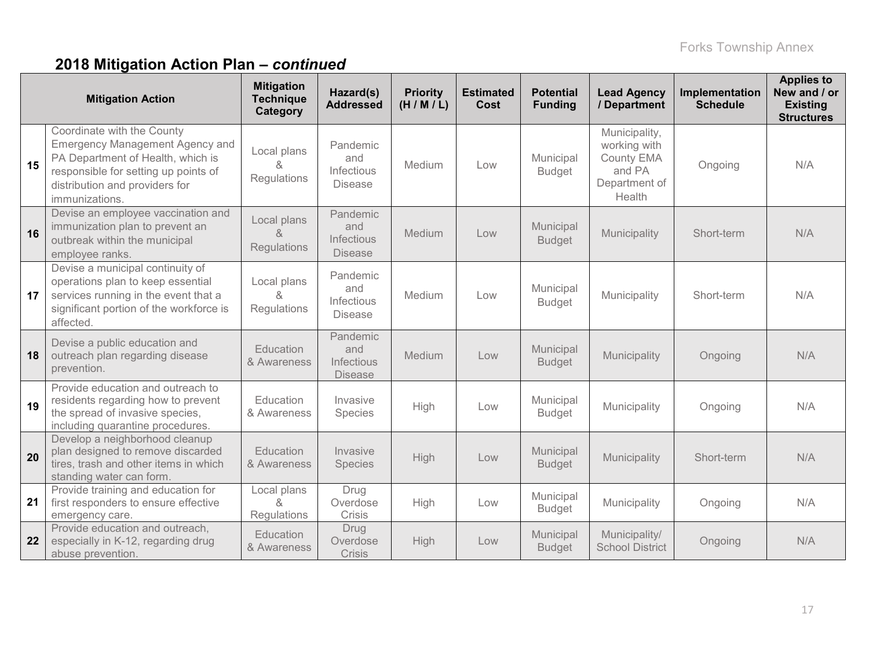|    | <b>Mitigation Action</b>                                                                                                                                                                              | <b>Mitigation</b><br><b>Technique</b><br>Category | Hazard(s)<br><b>Addressed</b>                          | <b>Priority</b><br>(H/M/L) | <b>Estimated</b><br>Cost | <b>Potential</b><br><b>Funding</b> | <b>Lead Agency</b><br>/ Department                                                      | Implementation<br><b>Schedule</b> | <b>Applies to</b><br>New and / or<br><b>Existing</b><br><b>Structures</b> |
|----|-------------------------------------------------------------------------------------------------------------------------------------------------------------------------------------------------------|---------------------------------------------------|--------------------------------------------------------|----------------------------|--------------------------|------------------------------------|-----------------------------------------------------------------------------------------|-----------------------------------|---------------------------------------------------------------------------|
| 15 | Coordinate with the County<br><b>Emergency Management Agency and</b><br>PA Department of Health, which is<br>responsible for setting up points of<br>distribution and providers for<br>immunizations. | Local plans<br>&<br>Regulations                   | Pandemic<br>and<br>Infectious<br><b>Disease</b>        | Medium                     | Low                      | Municipal<br><b>Budget</b>         | Municipality,<br>working with<br><b>County EMA</b><br>and PA<br>Department of<br>Health | Ongoing                           | N/A                                                                       |
| 16 | Devise an employee vaccination and<br>immunization plan to prevent an<br>outbreak within the municipal<br>employee ranks.                                                                             | Local plans<br>&<br>Regulations                   | Pandemic<br>and<br><b>Infectious</b><br><b>Disease</b> | Medium                     | Low                      | Municipal<br><b>Budget</b>         | Municipality                                                                            | Short-term                        | N/A                                                                       |
| 17 | Devise a municipal continuity of<br>operations plan to keep essential<br>services running in the event that a<br>significant portion of the workforce is<br>affected.                                 | Local plans<br>&<br>Regulations                   | Pandemic<br>and<br><b>Infectious</b><br><b>Disease</b> | Medium                     | Low                      | Municipal<br><b>Budget</b>         | Municipality                                                                            | Short-term                        | N/A                                                                       |
| 18 | Devise a public education and<br>outreach plan regarding disease<br>prevention.                                                                                                                       | <b>Education</b><br>& Awareness                   | Pandemic<br>and<br>Infectious<br><b>Disease</b>        | Medium                     | Low                      | Municipal<br><b>Budget</b>         | Municipality                                                                            | Ongoing                           | N/A                                                                       |
| 19 | Provide education and outreach to<br>residents regarding how to prevent<br>the spread of invasive species,<br>including quarantine procedures.                                                        | Education<br>& Awareness                          | Invasive<br>Species                                    | High                       | Low                      | Municipal<br><b>Budget</b>         | Municipality                                                                            | Ongoing                           | N/A                                                                       |
| 20 | Develop a neighborhood cleanup<br>plan designed to remove discarded<br>tires, trash and other items in which<br>standing water can form.                                                              | Education<br>& Awareness                          | Invasive<br>Species                                    | High                       | Low                      | Municipal<br><b>Budget</b>         | Municipality                                                                            | Short-term                        | N/A                                                                       |
| 21 | Provide training and education for<br>first responders to ensure effective<br>emergency care.                                                                                                         | Local plans<br>&<br>Regulations                   | Drug<br>Overdose<br>Crisis                             | High                       | Low                      | Municipal<br><b>Budget</b>         | Municipality                                                                            | Ongoing                           | N/A                                                                       |
| 22 | Provide education and outreach,<br>especially in K-12, regarding drug<br>abuse prevention.                                                                                                            | Education<br>& Awareness                          | Drug<br>Overdose<br>Crisis                             | High                       | Low                      | Municipal<br><b>Budget</b>         | Municipality/<br><b>School District</b>                                                 | Ongoing                           | N/A                                                                       |